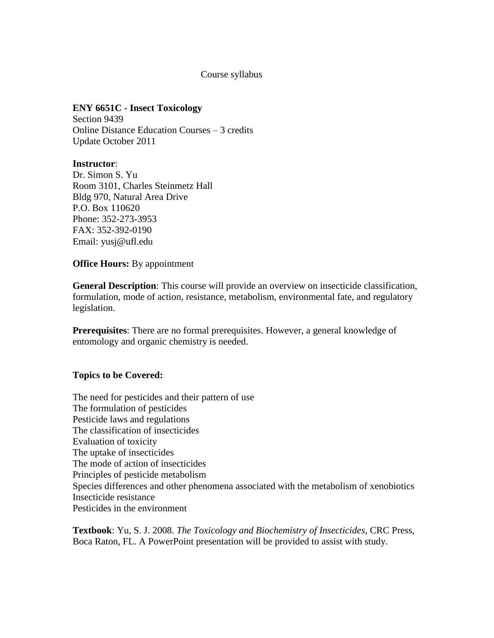# Course syllabus

# **ENY 6651C - Insect Toxicology**

Section 9439 Online Distance Education Courses – 3 credits Update October 2011

#### **Instructor**:

Dr. Simon S. Yu Room 3101, Charles Steinmetz Hall Bldg 970, Natural Area Drive P.O. Box 110620 Phone: 352-273-3953 FAX: 352-392-0190 Email: yusj@ufl.edu

### **Office Hours:** By appointment

**General Description**: This course will provide an overview on insecticide classification, formulation, mode of action, resistance, metabolism, environmental fate, and regulatory legislation.

**Prerequisites**: There are no formal prerequisites. However, a general knowledge of entomology and organic chemistry is needed.

# **Topics to be Covered:**

The need for pesticides and their pattern of use The formulation of pesticides Pesticide laws and regulations The classification of insecticides Evaluation of toxicity The uptake of insecticides The mode of action of insecticides Principles of pesticide metabolism Species differences and other phenomena associated with the metabolism of xenobiotics Insecticide resistance Pesticides in the environment

**Textbook**: Yu, S. J. 2008. *The Toxicology and Biochemistry of Insecticides*, CRC Press, Boca Raton, FL. A PowerPoint presentation will be provided to assist with study.